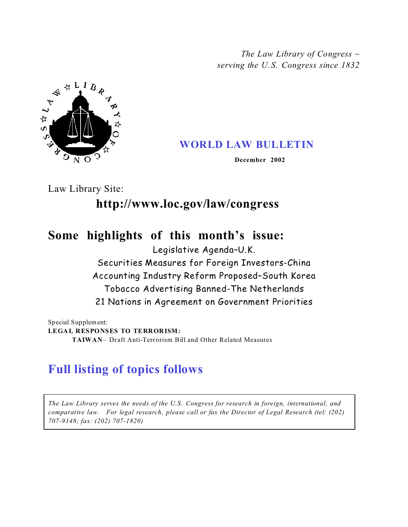*The Law Library of Congress ~ serving the U. S. Congress since 1832*



## **WORLD LAW BULLETIN**

 **December 2002**

Law Library Site:

# **http://www.loc.gov/law/congress**

## **Some highlights of this month's issue:**

Legislative Agenda–U.K.

## Securities Measures for Foreign Investors-China Accounting Industry Reform Proposed–South Korea Tobacco Advertising Banned-The Netherlands 21 Nations in Agreement on Government Priorities

Special Supplement: **LEGAL RESPONSES TO TERRORISM: TAIWAN**– Draft Anti-Terrorism Bill and Other Related Measures

# **Full listing of topics follows**

*The Law Library serves the needs of the U.S. Congress for research in foreign, international, and comparative law. For legal research, please call or fax the Director of Legal Research (tel: (202) 707-9148; fax: (202) 707-1820)*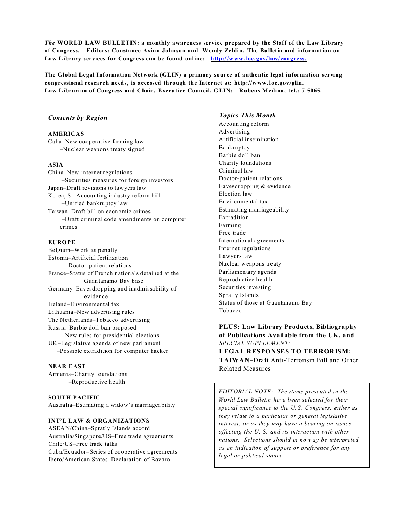*The* **WORLD LAW BULLETIN: a monthly awareness service prepared by the Staff of the Law Library of Congress. Editors: Constance Axinn Johnson and Wendy Zeldin. The Bulletin and information on Law Library services for Congress can be found online: http://www.loc. gov/law/ congress.**

**The Global Legal Information Network (GLIN) a primary source of authentic legal information serving congressional research needs, is accessed through the Internet at: http://www. loc.gov/glin. Law Librarian of Congress and Chair, Executive Council, GLIN: Rubens Medina, tel.: 7-5065.**

## *Contents by Region*

## **AMERICAS**

Cuba–New cooperative farming law –Nuclear weapons treaty signed

## **ASIA**

China–New internet regulations –Securities measures for foreign investors Japan–Draft revisions to lawyers law Korea, S.–Accounting industry reform bill –Unified bankruptcy law Taiwan–Draft bill on economic crimes –Draft criminal code amendments on computer crimes

#### **EUROPE**

Belgium–Work as penalty Estonia–Artificial fertilization –Doctor-patient relations France–Status of French nationals detained at the Guantanamo Bay base Germany–Eavesdropping and inadmissability of evidence Ireland–Environmental tax Lithuania–New advertising rules The Netherlands–Tobacco advertising Russia–Barbie doll ban proposed –New rules for presidential elections UK–Legislative agenda of new parliament –Possible extradition for computer hacker

#### **NEAR EAST** Armenia–Charity foundations

–Reproductive health

## **SOUTH PACIFIC** Australia–Estimating a widow's marriageability

## **INT'L LAW & ORGANIZATIONS**

ASEAN/China–Spratly Islands accord Australia/Singapore/US–Free trade agreements Chile/US–Free trade talks Cuba/Ecuador–Series of cooperative agreements Ibero/American States–Declaration of Bavaro

## *Topics This Month*

Accounting reform Advertising Artificial insemination Bankruptcy Barbie doll ban Charity foundations Criminal law Doctor-patient relations Eavesdropping & evidence Election law Environmental tax Estimating marriageability Extradition Farming Free trade International agreements Internet regulations Lawyers law Nuclear weapons treaty Parliamentary agenda Reproductive health Securities investing Spratly Islands Status of those at Guantanamo Bay Tobacco

## **PLUS: Law Library Products, Bibliography of Publications Available from the UK, and** *SPECIAL SUPPLEMENT:* **LEGAL RESPONSES TO TERRORISM:**

**TAIWAN**–Draft Anti-Terrorism Bill and Other Related Measures

*EDITORIAL NOTE: The items presented in the World Law Bulletin have been selected for their special significance to the U. S. Congress, either as they relate to a particular or general legislative interest, or as they may have a bearing on issues affecting the U. S. and its interaction with other nations. Selections should in no way be interpreted as an indication of support or preference for any legal or political stance.*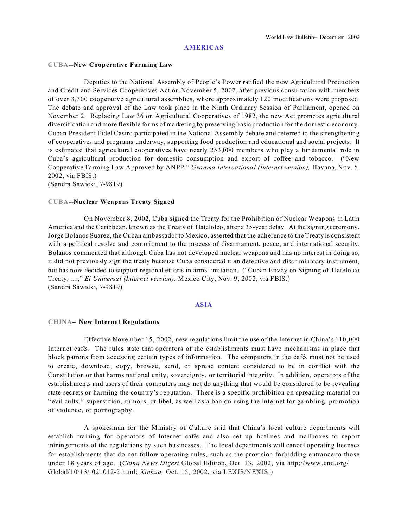#### **AMERICAS**

#### **CUBA--New Cooperative Farming Law**

Deputies to the National Assembly of People's Power ratified the new Agricultural Production and Credit and Services Cooperatives Act on November 5, 2002, after previous consultation with members of over 3,300 cooperative agricultural assemblies, where approximately 120 modifications were proposed. The debate and approval of the Law took place in the Ninth Ordinary Session of Parliament, opened on November 2. Replacing Law 36 on Agricultural Cooperatives of 1982, the new Act promotes agricultural diversification and more flexible forms of marketing by preserving basic production for the domestic economy. Cuban President Fidel Castro participated in the National Assembly debate and referred to the strengthening of cooperatives and programs underway, supporting food production and educational and social projects. It is estimated that agricultural cooperatives have nearly 253,000 members who play a fundamental role in Cuba's agricultural production for domestic consumption and export of coffee and tobacco. ("New Cooperative Farming Law Approved by ANPP," *Granma International (Internet version),* Havana, Nov. 5, 2002, via FBIS.)

(Sandra Sawicki, 7-9819)

#### **CUBA--Nuclear Weapons Treaty Signed**

On November 8, 2002, Cuba signed the Treaty for the Prohibition of Nuclear Weapons in Latin America and the Caribbean, known as the Treaty of Tlatelolco, after a 35-year delay. At the signing ceremony, Jorge Bolanos Suarez, the Cuban ambassador to Mexico, asserted that the adherence to the Treaty is consistent with a political resolve and commitment to the process of disarmament, peace, and international security. Bolanos commented that although Cuba has not developed nuclear weapons and has no interest in doing so, it did not previously sign the treaty because Cuba considered it an defective and discriminatory instrument, but has now decided to support regional efforts in arms limitation. ("Cuban Envoy on Signing of Tlatelolco Treaty, ....," *El Universal (Internet version),* Mexico City, Nov. 9, 2002, via FBIS.) (Sandra Sawicki, 7-9819)

## **ASIA**

#### **CHINA– New Internet Regulations**

Effective November 15, 2002, new regulations limit the use of the Internet in China's 110,000 Internet cafés. The rules state that operators of the establishments must have mechanisms in place that block patrons from accessing certain types of information. The computers in the cafés must not be used to create, download, copy, browse, send, or spread content considered to be in conflict with the Constitution or that harms national unity, sovereignty, or territorial integrity. In addition, operators of the establishments and users of their computers may not do anything that would be considered to be revealing state secrets or harming the country's reputation. There is a specific prohibition on spreading material on " evil cults, " superstition, rumors, or libel, as well as a ban on using the Internet for gambling, promotion of violence, or pornography.

A spokesman for the Ministry of Culture said that China's local culture departments will establish training for operators of Internet cafés and also set up hotlines and mailboxes to report infringements of the regulations by such businesses. The local departments will cancel operating licenses for establishments that do not follow operating rules, such as the provision forbidding entrance to those under 18 years of age. (*China News Digest* Global Edition, Oct. 13, 2002, via http://www. cnd.org/ Global/10/13/ 021012-2.html; *Xinhua,* Oct. 15, 2002, via LEXIS/NEXIS.)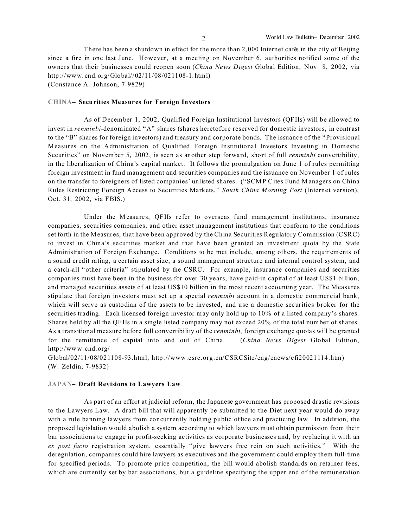There has been a shutdown in effect for the more than 2,000 Internet cafés in the city of Beijing since a fire in one last June. However, at a meeting on November 6, authorities notified some of the owners that their businesses could reopen soon (*China News Digest* Global Edition, Nov. 8, 2002, via http://www. cnd. org/Global//02/11/08/021108-1. html) (Constance A. Johnson, 7-9829)

### **CHINA– Securities Measures for Foreign Investors**

As of December 1, 2002, Qualified Foreign Institutional Investors (QFIIs) will be allowed to invest in *renminbi*-denominated "A" shares (shares heretofore reserved for domestic investors, in contrast to the "B" shares for foreign investors) and treasury and corporate bonds. The issuance of the "Provisional Measures on the Administration of Qualified Foreign Institutional Investors Investing in Domestic Securities" on November 5, 2002, is seen as another step forward, short of full *renminbi* convertibility, in the liberalization of China's capital market. It follows the promulgation on June 1 of rules permitting foreign investment in fund management and securities companies and the issuance on November 1 of rules on the transfer to foreigners of listed companies' unlisted shares. ("SCMP Cites Fund Managers on China Rules Restricting Foreign Access to Securities Markets," *South China Morning Post* (Internet version), Oct. 31, 2002, via FBIS.)

Under the Measures, QFIIs refer to overseas fund management institutions, insurance companies, securities companies, and other asset management institutions that conform to the conditions set forth in the Measur es, that have been approved by the China Securities Regulatory Commission (CSRC) to invest in China's securities market and that have been granted an investment quota by the State Administration of Foreign Exchange. Conditions to be met include, among others, the requirements of a sound credit rating, a certain asset size, a sound management structure and internal control system, and a catch-all "other criteria" stipulated by the CSRC. For example, insurance companies and securities companies must have been in the business for over 30 years, have paid-in capital of at least US\$1 billion, and managed securities assets of at least US\$10 billion in the most recent accounting year. The Measures stipulate that foreign investors must set up a special *renminbi* account in a domestic commercial bank, which will serve as custodian of the assets to be invested, and use a domestic securities broker for the securities trading. Each licensed foreign investor may only hold up to 10% of a listed company's shares. Shares held by all the QFIIs in a single listed company may not exceed 20% of the total number of shares. As a transitional measure before full convertibility of the *renminbi*, foreign exchange quotas will be granted for the remittance of capital into and out of China. (*China News Digest* Global Edition, http://www. cnd.org/

Global/02/11/08/021108-93.html; http://www.csrc.org.cn/CSRCSite/eng/enews/efi20021114.htm) (W. Zeldin, 7-9832)

#### **JAPAN– Draft Revisions to Lawyers Law**

As part of an effort at judicial reform, the Japanese government has proposed drastic revisions to the Lawyers Law. A draft bill that will apparently be submitted to the Diet next year would do away with a rule banning lawyers from concurrently holding public office and practicing law. In addition, the proposed legislation would abolish a system according to which lawyers must obtain permission from their bar associations to engage in profit-seeking activities as corporate businesses and, by replacing it with an *ex post facto* registration system, essentially "give lawyers free rein on such activities. " With the deregulation, companies could hire lawyers as executives and the government could employ them full-time for specified periods. To promote price competition, the bill would abolish standards on retainer fees, which are currently set by bar associations, but a guideline specifying the upper end of the remuneration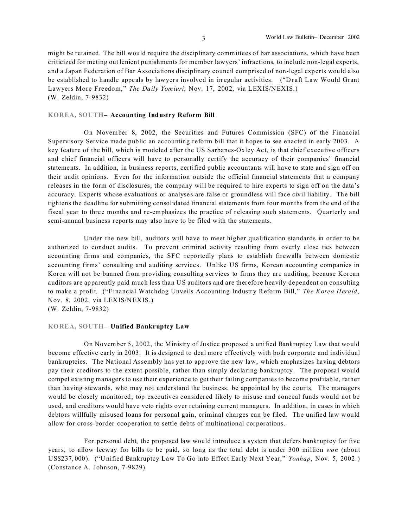might be retained. The bill would require the disciplinary committees of bar associations, which have been criticized for meting out lenient punishments for member lawyers' infractions, to include non-legal experts, and a Japan Federation of Bar Associations disciplinary council comprised of non-legal experts would also be established to handle appeals by lawyers involved in irregular activities. ("Draft Law Would Grant Lawyers More Freedom," *The Daily Yomiuri*, Nov. 17, 2002, via LEXIS/NEXIS.) (W. Zeldin, 7-9832)

#### **KOREA, SOUTH– Accounting Industry Reform Bill**

On November 8, 2002, the Securities and Futures Commission (SFC) of the Financial Supervisory Service made public an accounting reform bill that it hopes to see enacted in early 2003. A key feature of the bill, which is modeled after the US Sarbanes-Oxley Act, is that chief executive officers and chief financial officers will have to personally certify the accuracy of their companies' financial statements. In addition, in business reports, certified public accountants will have to state and sign off on their audit opinions. Even for the information outside the official financial statements that a company releases in the form of disclosures, the company will be required to hire experts to sign off on the data's accuracy. Experts whose evaluations or analyses are false or groundless will face civil liability. The bill tightens the deadline for submitting consolidated financial statements from four months from the end of the fiscal year to three months and re-emphasizes the practice of releasing such statements. Quarterly and semi-annual business reports may also have to be filed with the statements.

Under the new bill, auditors will have to meet higher qualification standards in order to be authorized to conduct audits. To prevent criminal activity resulting from overly close ties between accounting firms and companies, the SFC reportedly plans to establish firewalls between domestic accounting firms' consulting and auditing services. Unlike US firms, Korean accounting companies in Korea will not be banned from providing consulting services to firms they are auditing, because Korean auditors are apparently paid much less than US auditors and are therefore heavily dependent on consulting to make a profit. ("Financial Watchdog Unveils Accounting Industry Reform Bill," *The Korea Herald*, Nov. 8, 2002, via LEXIS/NEXIS.) (W. Zeldin, 7-9832)

**KOREA, SOUTH– Unified Bankruptcy Law** 

On November 5, 2002, the Ministry of Justice proposed a unified Bankruptcy Law that would become effective early in 2003. It is designed to deal more effectively with both corporate and individual bankruptcies. The National Assembly has yet to approve the new law, which emphasizes having debtors pay their creditors to the extent possible, rather than simply declaring bankruptcy. The proposal would compel existing managers to use their experience to get their failing companies to become profitable, rather than having stewards, who may not understand the business, be appointed by the courts. The managers would be closely monitored; top executives considered likely to misuse and conceal funds would not be used, and creditors would have veto rights over retaining current managers. In addition, in cases in which debtors willfully misused loans for personal gain, criminal charges can be filed. The unified law would allow for cross-border cooperation to settle debts of multinational corpor ations.

For personal debt, the proposed law would introduce a system that defers bankruptcy for five years, to allow leeway for bills to be paid, so long as the total debt is under 300 million *won* (about US\$237, 000). ("Unified Bankruptcy Law To Go into Effect Early Next Year," *Yonhap*, Nov. 5, 2002.) (Constance A. Johnson, 7-9829)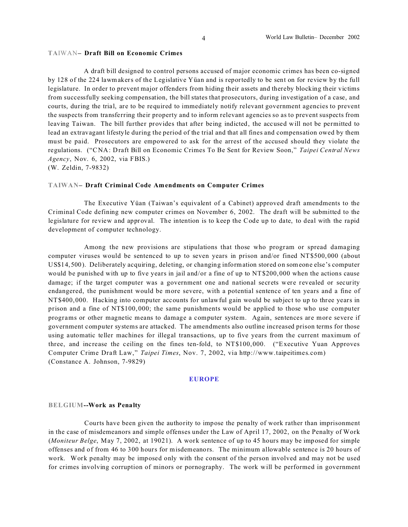#### **TA**IWAN**– Draft Bill on Economic Crimes**

A draft bill designed to control persons accused of major economic crimes has been co-signed by 128 of the 224 lawmakers of the Legislative Yüan and is reportedly to be sent on for review by the full legislature. In order to prevent major offenders from hiding their assets and thereby blocking their victims from successfully seeking compensation, the bill states that prosecutors, during investigation of a case, and courts, during the trial, are to be required to immediately notify relevant government agencies to prevent the suspects from transferring their property and to inform relevant agencies so as to prevent suspects from leaving Taiwan. The bill further provides that after being indicted, the accused will not be permitted to lead an extravagant lifestyle during the period of the trial and that all fines and compensation owed by them must be paid. Prosecutors are empowered to ask for the arrest of the accused should they violate the regulations. ("CNA: Draft Bill on Economic Crimes To Be Sent for Review Soon," *Taipei Central News Agency*, Nov. 6, 2002, via FBIS.) (W. Zeldin, 7-9832)

## **TAIWAN– Draft Criminal Code Amendments on Computer Crimes**

The Executive Yüan (Taiwan's equivalent of a Cabinet) approved draft amendments to the Criminal Code defining new computer crimes on November 6, 2002. The draft will be submitted to the legislature for review and approval. The intention is to keep the Code up to date, to deal with the rapid development of computer technology.

Among the new provisions are stipulations that those who program or spread damaging computer viruses would be sentenced to up to seven years in prison and/or fined NT\$500,000 (about US\$14, 500). Deliberately acquiring, deleting, or changing information stored on someone else's computer would be punished with up to five years in jail and/or a fine of up to NT\$200,000 when the actions cause damage; if the target computer was a government one and national secrets were revealed or security endangered, the punishment would be more severe, with a potential sentence of ten years and a fine of NT\$400,000. Hacking into computer accounts for unlawful gain would be subject to up to three years in prison and a fine of NT\$100, 000; the same punishments would be applied to those who use computer programs or other magnetic means to damage a computer system. Again, sentences are more severe if government computer systems are attacked. The amendments also outline increased prison terms for those using automatic teller machines for illegal transactions, up to five years from the current maximum of three, and increase the ceiling on the fines ten-fold, to NT\$100,000. ("Executive Yuan Approves Computer Crime Draft Law," *Taipei Times*, Nov. 7, 2002, via http://www.taipeitimes.com) (Constance A. Johnson, 7-9829)

#### **EUROPE**

#### **BELGIUM--Work as Penalty**

Courts have been given the authority to impose the penalty of work rather than imprisonment in the case of misdemeanors and simple offenses under the Law of April 17, 2002, on the Penalty of Work (*Moniteur Belge*, May 7, 2002, at 19021). A work sentence of up to 45 hours may be imposed for simple offenses and of from 46 to 300 hours for misdemeanors. The minimum allowable sentence is 20 hours of work. Work penalty may be imposed only with the consent of the person involved and may not be used for crimes involving corruption of minors or pornography. The work will be performed in government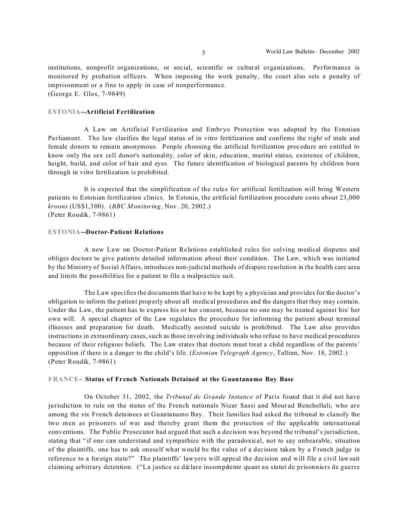institutions, nonprofit organizations, or social, scientific or cultural organizations, Performance is monitored by probation officers. When imposing the work penalty, the court also sets a penalty of imprisonment or a fine to apply in case of nonperformance. (George E. Glos, 7-9849)

#### **ESTONIA--Artificial Fertilization**

A Law on Artificial Fertilization and Embryo Protection was adopted by the Estonian Parliament. The law clarifies the legal status of in vitro fertilization and confirms the right of male and female donors to remain anonymous. People choosing the artificial fertilization procedure are entitled to know only the sex cell donor's nationality, color of skin, education, marital status, existence of children, height, build, and color of hair and eyes. The future identification of biological parents by children born through in vitro fertilization is prohibited.

It is expected that the simplification of the rules for artificial fertilization will bring Western patients to Estonian fertilization clinics. In Estonia, the artificial fertilization procedure costs about 23,000 *kroons* (US\$1,300). (*BBC Monitoring*, Nov. 20, 2002.) (Peter Roudik, 7-9861)

#### **ESTONIA--Doctor-Patient Relations**

A new Law on Doctor-Patient Relations established rules for solving medical disputes and obliges doctors to give patients detailed information about their condition. The Law, which was initiated by the Ministry of Social Affairs, introduces non-judicial methods of dispute resolution in the health care area and limits the possibilities for a patient to file a malpractice suit.

The Law specifies the documents that have to be kept by a physician and provides for the doctor's obligation to inform the patient properly about all medical procedures and the dangers that they may contain. Under the Law, the patient has to express his or her consent, because no one may be treated against his/ her own will. A special chapter of the Law regulates the procedure for informing the patient about terminal illnesses and preparation for death. Medically assisted suicide is prohibited. The Law also provides instructions in extraordinary cases, such as those involving individuals who refuse to have medical procedures because of their religious beliefs. The Law states that doctors must treat a child regardless of the parents' opposition if there is a danger to the child's life. (*Estonian Telegraph Agency*, Tallinn, Nov. 18, 2002.) (Peter Roudik, 7-9861)

#### **FRANCE– Status of French Nationals Detained at the Guantanamo Bay Base**

On October 31, 2002, the *Tribunal de Grande Instance* of Paris found that it did not have jurisdiction to rule on the status of the French nationals Nizar Sassi and Mourad Benchellali, who are among the six French detainees at Guantanamo Bay. Their families had asked the tribunal to classify the two men as prisoners of war and thereby grant them the protection of the applicable international conventions. The Public Prosecutor had argued that such a decision was beyond the tribunal's jurisdiction, stating that " if one can understand and sympathize with the paradoxical, not to say unbearable, situation of the plaintiffs, one has to ask oneself what would be the value of a decision taken by a French judge in reference to a foreign state?" The plaintiffs' lawyers will appeal the decision and will file a civil lawsuit claiming arbitrary detention. ("La justice se déclare incompétente quant au statut de prisonniers de guerre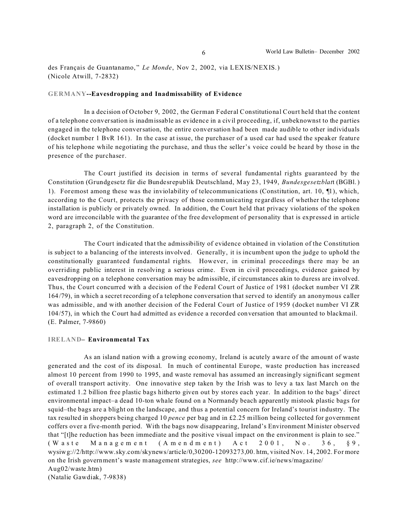des Français de Guantanamo, " *Le Monde*, Nov 2, 2002, via LEXIS/NEXIS.) (Nicole Atwill, 7-2832)

#### **GERMANY--Eavesdropping and Inadmissability of Evidence**

In a decision of October 9, 2002, the German Federal Constitutional Court held that the content of a telephone conversation is inadmissable as evidence in a civil proceeding, if, unbeknownst to the parties engaged in the telephone conversation, the entire conversation had been made audible to other individuals (docket number 1 BvR 161). In the case at issue, the purchaser of a used car had used the speaker feature of his telephone while negotiating the purchase, and thus the seller's voice could be heard by those in the presence of the purchaser.

The Court justified its decision in terms of several fundamental rights guaranteed by the Constitution (Grundgesetz für die Bundesrepublik Deutschland, May 23, 1949, *Bundesgesetzblat*t (BGBl.) 1). Foremost among these was the inviolability of telecommunications (Constitution, art. 10, ¶1), which, according to the Court, protects the privacy of those communicating regardless of whether the telephone installation is publicly or privately owned. In addition, the Court held that privacy violations of the spoken word are irreconcilable with the guarantee of the free development of personality that is expressed in article 2, paragraph 2, of the Constitution.

The Court indicated that the admissibility of evidence obtained in violation of the Constitution is subject to a balancing of the interests involved. Generally, it is incumbent upon the judge to uphold the constitutionally guaranteed fundamental rights. However, in criminal proceedings there may be an overriding public interest in resolving a serious crime. Even in civil proceedings, evidence gained by eavesdropping on a telephone conversation may be admissible, if circumstances akin to duress are involved. Thus, the Court concurred with a decision of the Federal Court of Justice of 1981 (docket number VI ZR 164/79), in which a secret recording of a telephone conversation that served to identify an anonymous caller was admissible, and with another decision of the Federal Court of Justice of 1959 (docket number VI ZR 104/57), in which the Court had admitted as evidence a recorded conversation that amounted to blackmail. (E. Palmer, 7-9860)

## **IRELAND– Environmental Tax**

As an island nation with a growing economy, Ireland is acutely aware of the amount of waste generated and the cost of its disposal. In much of continental Europe, waste production has increased almost 10 percent from 1990 to 1995, and waste removal has assumed an increasingly significant segment of overall transport activity. One innovative step taken by the Irish was to levy a tax last March on the estimated 1.2 billion free plastic bags hitherto given out by stores each year. In addition to the bags' direct environmental impact–a dead 10-ton whale found on a Normandy beach apparently mistook plastic bags for squid–the bags are a blight on the landscape, and thus a potential concern for Ireland's tourist industry. The tax resulted in shoppers being charged 10 *pence* per bag and in £2.25 million being collected for government coffers over a five-month period. With the bags now disappearing, Ireland's Environment Minister observed that "[t]he reduction has been immediate and the positive visual impact on the environment is plain to see." (Waste Management (Amendment)  $Act$  2001, No. 36,  $§9$ , wysiwg://2/http://www.sky.com/skynews/article/0,30200-12093273,00. htm, visited Nov. 14, 2002. For more on the Irish government's waste management strategies, *see* http://www.cif.ie/news/magazine/ Aug02/waste.htm)

(Natalie Gawdiak, 7-9838)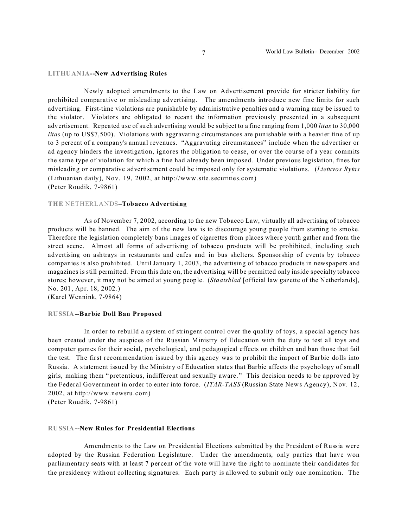#### **LITHUANIA--New Advertising Rules**

Newly adopted amendments to the Law on Advertisement provide for stricter liability for prohibited comparative or misleading advertising. The amendments introduce new fine limits for such advertising. First-time violations are punishable by administrative penalties and a warning may be issued to the violator. Violators are obligated to recant the information previously presented in a subsequent advertisement. Repeated use of such advertising would be subject to a fine ranging from 1,000 *litas* to 30,000 *litas* (up to US\$7,500). Violations with aggravating circumstances are punishable with a heavier fine of up to 3 percent of a company's annual revenues. "Aggravating circumstances" include when the advertiser or ad agency hinders the investigation, ignores the obligation to cease, or over the course of a year commits the same type of violation for which a fine had already been imposed. Under previous legislation, fines for misleading or comparative advertisement could be imposed only for systematic violations. (*Lietuvos Rytas* (Lithuanian daily), Nov. 19, 2002, at http://www.site.securities.com) (Peter Roudik, 7-9861)

#### **THE** NETHERLANDS**–Tobacco Advertising**

As of November 7, 2002, according to the new Tobacco Law, virtually all advertising of tobacco products will be banned. The aim of the new law is to discourage young people from starting to smoke. Therefore the legislation completely bans images of cigarettes from places where youth gather and from the street scene. Almost all forms of advertising of tobacco products will be prohibited, including such advertising on ashtrays in restaurants and cafes and in bus shelters. Sponsorship of events by tobacco companies is also prohibited. Until January 1, 2003, the advertising of tobacco products in newspapers and magazines is still permitted. From this date on, the advertising will be permitted only inside specialty tobacco stores; however, it may not be aimed at young people. (*Staatsblad* [official law gazette of the Netherlands], No. 201, Apr. 18, 2002.)

(Karel Wennink, 7-9864)

#### **RUSSIA--Barbie Doll Ban Proposed**

In order to rebuild a system of stringent control over the quality of toys, a special agency has been created under the auspices of the Russian Ministry of Education with the duty to test all toys and computer games for their social, psychological, and pedagogical effects on children and ban those that fail the test. The first recommendation issued by this agency was to prohibit the import of Bar bie dolls into Russia. A statement issued by the Ministry of Education states that Barbie affects the psychology of small girls, making them " pretentious, indifferent and sexually aware." This decision needs to be approved by the Federal Government in order to enter into force. (*ITAR-TASS* (Russian State News Agency), Nov. 12, 2002, at http://www.newsru.com)

(Peter Roudik, 7-9861)

#### **RUSSIA--New Rules for Presidential Elections**

Amendments to the Law on Presidential Elections submitted by the President of Russia were adopted by the Russian Federation Legislature. Under the amendments, only parties that have won parliamentary seats with at least 7 percent of the vote will have the right to nominate their candidates for the presidency without collecting signatures. Each party is allowed to submit only one nomination. The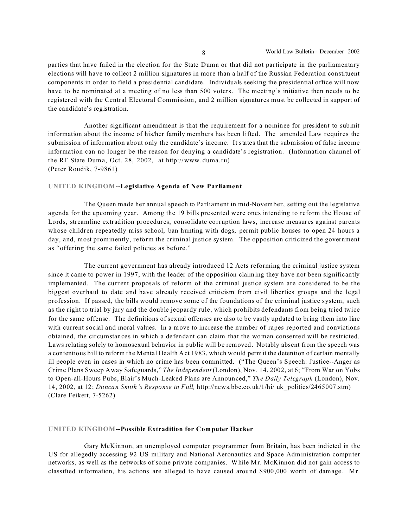parties that have failed in the election for the State Duma or that did not participate in the parliamentary elections will have to collect 2 million signatures in more than a half of the Russian Federation constituent components in order to field a presidential candidate. Individuals seeking the presidential office will now have to be nominated at a meeting of no less than 500 voters. The meeting's initiative then needs to be registered with the Central Electoral Commission, and 2 million signatures must be collected in support of the candidate's registration.

Another significant amendment is that the requirement for a nominee for president to submit information about the income of his/her family members has been lifted. The amended Law requires the submission of information about only the candidate's income. It states that the submission of false income information can no longer be the reason for denying a candidate's registration. (Information channel of the RF State Duma, Oct. 28, 2002, at http://www.duma.ru) (Peter Roudik, 7-9861)

## **UNITED KINGDOM--Legislative Agenda of New Parliament**

The Queen made her annual speech to Parliament in mid-November, setting out the legislative agenda for the upcoming year. Among the 19 bills presented were ones intending to reform the House of Lords, streamline extradition procedures, consolidate corruption laws, increase measures against parents whose children repeatedly miss school, ban hunting with dogs, permit public houses to open 24 hours a day, and, most prominently, reform the criminal justice system. The opposition criticized the government as "offering the same failed policies as before."

The current government has already introduced 12 Acts reforming the criminal justice system since it came to power in 1997, with the leader of the opposition claiming they have not been significantly implemented. The current proposals of reform of the criminal justice system are considered to be the biggest overhaul to date and have already received criticism from civil liberties groups and the legal profession. If passed, the bills would remove some of the foundations of the criminal justice system, such as the right to trial by jury and the double jeopardy rule, which prohibits defendants from being tried twice for the same offense. The definitions of sexual offenses are also to be vastly updated to bring them into line with current social and moral values. In a move to increase the number of rapes reported and convictions obtained, the circumstances in which a defendant can claim that the woman consented will be restricted. Laws relating solely to homosexual behavior in public will be removed. Notably absent from the speech was a contentious bill to reform the Mental Health Act 1983, which would permit the detention of certain mentally ill people even in cases in which no crime has been committed. ("The Queen's Speech: Justice--Anger as Crime Plans Sweep Away Safeguards," *The Independent* (London), Nov. 14, 2002, at 6; "From War on Yobs to Open-all-Hours Pubs, Blair's Much-Leaked Plans are Announced," *The Daily Telegraph* (London), Nov. 14, 2002, at 12; *Duncan Smith's Response in Full,* http://news.bbc.co.uk/1/hi/ uk\_politics/2465007.stm) (Clare Feikert, 7-5262)

### **UNITED KINGDOM--Possible Extradition for Computer Hacker**

Gary McKinnon, an unemployed computer programmer from Britain, has been indicted in the US for allegedly accessing 92 US military and National Aeronautics and Space Administration computer networks, as well as the networks of some private companies. While Mr. McKinnon did not gain access to classified information, his actions are alleged to have caused around \$900,000 worth of damage. Mr.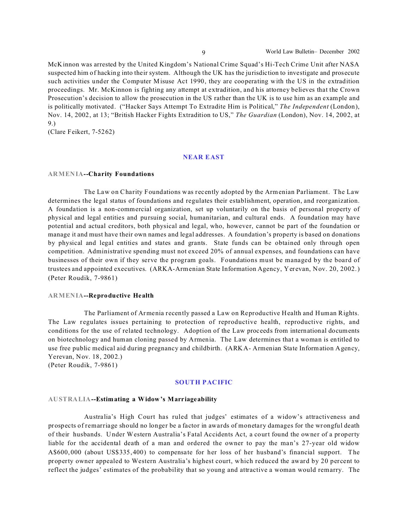McKinnon was arrested by the United Kingdom's National Crime Squad's Hi-Tech Crime Unit after NASA suspected him of hacking into their system. Although the UK has the jurisdiction to investigate and prosecute such activities under the Computer Misuse Act 1990, they are cooperating with the US in the extradition proceedings. Mr. McKinnon is fighting any attempt at extradition, and his attorney believes that the Crown Prosecution's decision to allow the prosecution in the US rather than the UK is to use him as an example and is politically motivated. ("Hacker Says Attempt To Extradite Him is Political," *The Independent* (London), Nov. 14, 2002, at 13; "British Hacker Fights Extradition to US," *The Guardian* (London), Nov. 14, 2002, at 9.)

(Clare Feikert, 7-5262)

## **NEAR EAST**

## **ARMENIA--Charity Foundations**

The Law on Charity Foundations was recently adopted by the Armenian Parliament. The Law determines the legal status of foundations and regulates their establishment, operation, and reorganization. A foundation is a non-commercial organization, set up voluntarily on the basis of personal property of physical and legal entities and pursuing social, humanitarian, and cultural ends. A foundation may have potential and actual creditors, both physical and legal, who, however, cannot be part of the foundation or manage it and must have their own names and legal addresses. A foundation's property is based on donations by physical and legal entities and states and grants. State funds can be obtained only through open competition. Administrative spending must not exceed 20% of annual expenses, and foundations can have businesses of their own if they serve the program goals. Foundations must be managed by the board of trustees and appointed executives. (ARKA-Armenian State Information Agency, Yerevan, Nov. 20, 2002.) (Peter Roudik, 7-9861)

### **ARMENIA--Reproductive Health**

The Parliament of Armenia recently passed a Law on Reproductive Health and Human Rights. The Law regulates issues pertaining to protection of reproductive health, reproductive rights, and conditions for the use of related technology. Adoption of the Law proceeds from international documents on biotechnology and human cloning passed by Armenia. The Law determines that a woman is entitled to use free public medical aid during pregnancy and childbirth. (ARKA- Armenian State Information Agency, Yerevan, Nov. 18, 2002.)

(Peter Roudik, 7-9861)

### **SOUTH PACIFIC**

#### **AUSTRALIA--Estimating a Widow's Marriageability**

Australia's High Court has ruled that judges' estimates of a widow's attractiveness and prospects of remarriage should no longer be a factor in awards of monetary damages for the wrongful death of their husbands. Under Western Australia's Fatal Accidents Act, a court found the owner of a property liable for the accidental death of a man and ordered the owner to pay the man's 27-year old widow A\$600, 000 (about US\$335,400) to compensate for her loss of her husband's financial support. The property owner appealed to Western Australia's highest court, which reduced the award by 20 percent to reflect the judges' estimates of the probability that so young and attractive a woman would remarry. The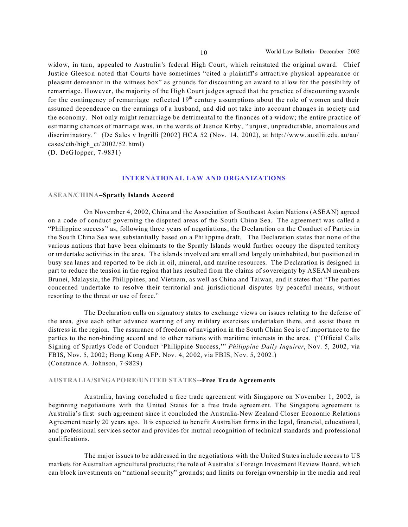widow, in turn, appealed to Australia's federal High Court, which reinstated the original award. Chief Justice Gleeson noted that Courts have sometimes "cited a plaintiff's attractive physical appearance or pleasant demeanor in the witness box" as grounds for discounting an award to allow for the possibility of remarriage. However, the majority of the High Court judges agreed that the practice of discounting awards for the contingency of remarriage reflected  $19<sup>th</sup>$  century assumptions about the role of women and their assumed dependence on the earnings of a husband, and did not take into account changes in society and the economy. Not only might remarriage be detrimental to the finances of a widow; the entire practice of estimating chances of marriage was, in the words of Justice Kirby, "unjust, unpredictable, anomalous and discriminatory. " (De Sales v Ingrilli [2002] HCA 52 (Nov. 14, 2002), at http://www. austlii.edu. au/au/ cases/ cth/high\_ct/2002/52.html)

(D. DeGlopper, 7-9831)

## **INTERNATIONAL LAW AND ORGANIZATIONS**

#### **ASEAN/CHINA–Spratly Islands Accord**

On November 4, 2002, China and the Association of Southeast Asian Nations (ASEAN) agreed on a code of conduct governing the disputed areas of the South China Sea. The agreement was called a "Philippine success" as, following three years of negotiations, the Declaration on the Conduct of Parties in the South China Sea was substantially based on a Philippine draft. The Declaration states that none of the various nations that have been claimants to the Spratly Islands would further occupy the disputed territory or undertake activities in the area. The islands involved are small and largely uninhabited, but positioned in busy sea lanes and reported to be rich in oil, mineral, and marine resources. The Declaration is designed in part to reduce the tension in the region that has resulted from the claims of sovereignty by ASEAN members Brunei, Malaysia, the Philippines, and Vietnam, as well as China and Taiwan, and it states that "The parties concerned undertake to resolve their territorial and jurisdictional disputes by peaceful means, without resorting to the threat or use of force."

The Declaration calls on signatory states to exchange views on issues relating to the defense of the area, give each other advance warning of any military exercises undertaken there, and assist those in distress in the region. The assurance of freedom of navigation in the South China Sea is of importance to the parties to the non-binding accord and to other nations with maritime interests in the area. ("Official Calls Signing of Spratlys Code of Conduct 'Philippine Success,'" *Philippine Daily Inquirer*, Nov. 5, 2002, via FBIS, Nov. 5, 2002; Hong Kong AFP, Nov. 4, 2002, via FBIS, Nov. 5, 2002.) (Constance A. Johnson, 7-9829)

### **AUSTRALIA/SINGAPORE/UNITED STATES--Free Trade Agreem ents**

Australia, having concluded a free trade agreement with Singapore on November 1, 2002, is beginning negotiations with the United States for a free trade agreement. The Singapore agreement is Australia's first such agreement since it concluded the Australia-New Zealand Closer Economic Relations Agreement nearly 20 years ago. It is expected to benefit Australian firms in the legal, financial, educational, and professional services sector and provides for mutual recognition of technical standards and professional qualifications.

The major issues to be addressed in the negotiations with the United States include access to US markets for Australian agricultural products; the role of Australia's Foreign Investment Review Board, which can block investments on "national security" grounds; and limits on foreign ownership in the media and real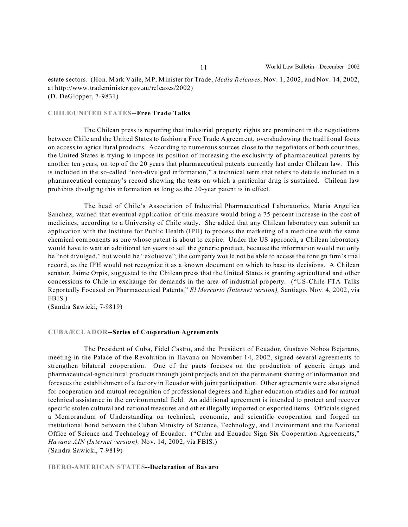estate sectors. (Hon. Mark Vaile, MP, Minister for Trade, *Media Releases*, Nov. 1, 2002, and Nov. 14, 2002, at http://www.trademinister.gov.au/releases/2002) (D. DeGlopper, 7-9831)

## **CHILE/UNITED STATES--Free Trade Talks**

The Chilean press is reporting that industrial property rights are prominent in the negotiations between Chile and the United States to fashion a Free Trade Agreement, overshadowing the traditional focus on access to agricultural products. According to numerous sources close to the negotiators of both countries, the United States is trying to impose its position of increasing the exclusivity of pharmaceutical patents by another ten years, on top of the 20 years that pharmaceutical patents currently last under Chilean law. This is included in the so-called "non-divulged information," a technical term that refers to details included in a pharmaceutical company's record showing the tests on which a particular drug is sustained. Chilean law prohibits divulging this information as long as the 20-year patent is in effect.

The head of Chile's Association of Industrial Pharmaceutical Laboratories, Maria Angelica Sanchez, warned that eventual application of this measure would bring a 75 percent increase in the cost of medicines, according to a University of Chile study. She added that any Chilean laboratory can submit an application with the Institute for Public Health (IPH) to process the marketing of a medicine with the same chemical components as one whose patent is about to expire. Under the US approach, a Chilean laboratory would have to wait an additional ten years to sell the generic product, because the information would not only be "not divulged," but would be "exclusive"; the company would not be able to access the foreign firm's trial record, as the IPH would not recognize it as a known document on which to base its decisions. A Chilean senator, Jaime Orpis, suggested to the Chilean press that the United States is granting agricultural and other concessions to Chile in exchange for demands in the area of industrial property. ("US-Chile FTA Talks Reportedly Focused on Pharmaceutical Patents," *El Mercurio (Internet version),* Santiago, Nov. 4, 2002, via FBIS.)

(Sandra Sawicki, 7-9819)

#### **CUBA/ECUADOR--Series of Cooperation Agreem ents**

The President of Cuba, Fidel Castro, and the President of Ecuador, Gustavo Noboa Bejarano, meeting in the Palace of the Revolution in Havana on November 14, 2002, signed several agreements to strengthen bilateral cooperation. One of the pacts focuses on the production of generic drugs and pharmaceutical-agricultural products through joint projects and on the permanent sharing of information and foresees the establishment of a factory in Ecuador with joint participation. Other agreements were also signed for cooperation and mutual recognition of professional degrees and higher education studies and for mutual technical assistance in the environmental field. An additional agreement is intended to protect and recover specific stolen cultural and national treasures and other illegally imported or exported items. Officials signed a Memorandum of Understanding on technical, economic, and scientific cooperation and forged an institutional bond between the Cuban Ministry of Science, Technology, and Environment and the National Office of Science and Technology of Ecuador. ("Cuba and Ecuador Sign Six Cooperation Agreements," *Havana AIN (Internet version),* Nov. 14, 2002, via FBIS.) (Sandra Sawicki, 7-9819)

#### **IBERO-AMERICAN STATES--Declaration of Bavaro**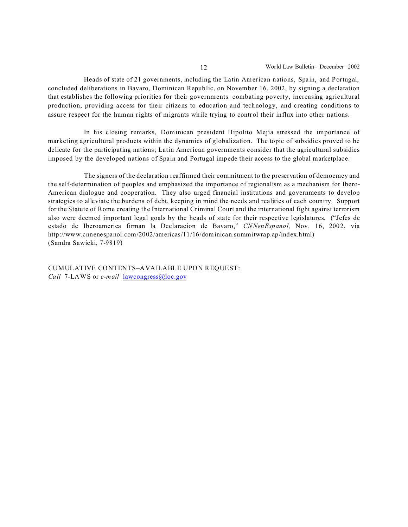Heads of state of 21 governments, including the Latin American nations, Spain, and Portugal, concluded deliberations in Bavaro, Dominican Republic, on November 16, 2002, by signing a declaration that establishes the following priorities for their governments: combating poverty, increasing agricultural production, providing access for their citizens to education and technology, and creating conditions to assure respect for the human rights of migrants while trying to control their influx into other nations.

In his closing remarks, Dominican president Hipolito Mejia stressed the importance of marketing agricultural products within the dynamics of globalization. The topic of subsidies proved to be delicate for the participating nations; Latin American governments consider that the agricultural subsidies imposed by the developed nations of Spain and Portugal impede their access to the global marketplace.

The signers of the declaration reaffirmed their commitment to the preservation of democracy and the self-determination of peoples and emphasized the importance of regionalism as a mechanism for Ibero-American dialogue and cooperation. They also urged financial institutions and governments to develop strategies to alleviate the burdens of debt, keeping in mind the needs and realities of each country. Support for the Statute of Rome creating the International Criminal Court and the international fight against terrorism also were deemed important legal goals by the heads of state for their respective legislatures. ("Jefes de estado de Iberoamerica firman la Declaracion de Bavaro," *CNNenEspanol,* Nov. 16, 2002, via http://www.cnnenespanol.com/2002/americas/11/16/dominican.summitwrap.ap/index.html) (Sandra Sawicki, 7-9819)

CUMULATIVE CONTENTS–AVAILABLE UPON REQUEST: *Call* 7-LAWS or *e-mail* lawcongress@loc.gov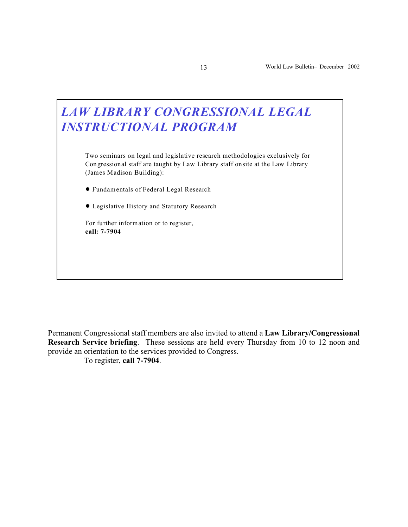

Permanent Congressional staff members are also invited to attend a **Law Library/Congressional Research Service briefing**. These sessions are held every Thursday from 10 to 12 noon and provide an orientation to the services provided to Congress.

To register, **call 7-7904**.